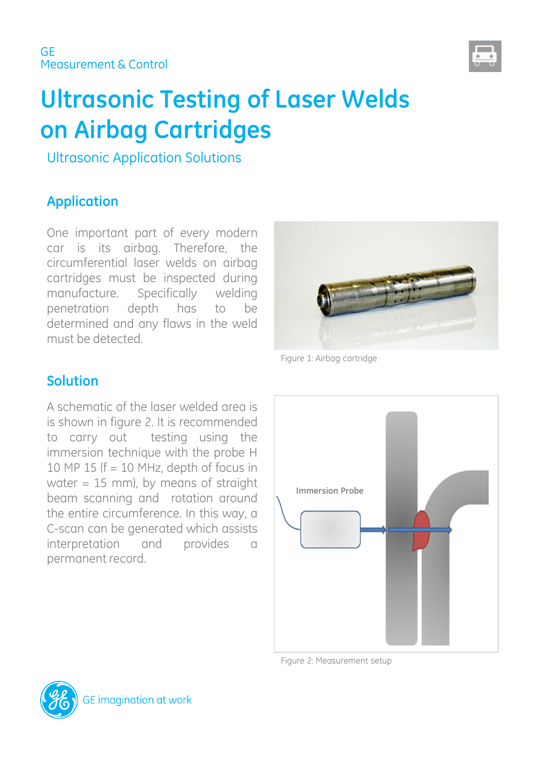

# **Ultrasonic Testing of Laser Welds on Airbag Cartridges**

Ultrasonic Application Solutions

# **Application**

One important part of every modern car is its airbag. Therefore, the circumferential laser welds on airbag cartridges must be inspected during manufacture. Specifically welding penetration depth has to be determined and any flaws in the weld must be detected.



Figure 1: Airbag cartridge

#### **Solution**

A schematic of the laser welded area is is shown in figure 2. It is recommended to carry out testing using the immersion technique with the probe H 10 MP 15 ( $f = 10$  MHz, depth of focus in water  $= 15$  mm), by means of straight beam scanning and rotation around the entire circumference. In this way, a C-scan can be generated which assists interpretation and provides a permanent record.



Figure 2: Measurement setup